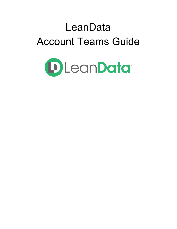# LeanData Account Teams Guide

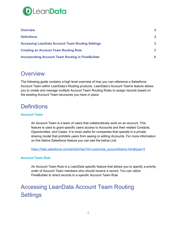

| <b>Overview</b>                                          | $\mathbf{2}$   |
|----------------------------------------------------------|----------------|
| <b>Definitions</b>                                       | $\mathbf{2}$   |
| <b>Accessing LeanData Account Team Routing Settings</b>  | $\overline{2}$ |
| <b>Creating an Account Team Routing Rule</b>             | $\mathbf{3}$   |
| <b>Incorporating Account Team Routing in FlowBuilder</b> | 6              |

### <span id="page-1-0"></span>**Overview**

The following guide contains a high level overview of how you can reference a Salesforce Account Team within LeanData's Routing products. LeanData's Account Teams feature allows you to create and manage multiple Account Team Routing Rules to assign records based on the existing Account Team structures you have in place

### <span id="page-1-1"></span>**Definitions**

### **Account Team**

An Account Team is a team of users that collaboratively work on an account. This feature is used to grant specific users access to Accounts and their related Contacts, Opportunities, and Cases. It is most useful for companies that operate in a private sharing model that prohibits users from seeing or editing Accounts. For more information on this Native Salesforce feature you can see the below Link.

[https://help.salesforce.com/articleView?id=customize\\_accountteams.htm&type=5](https://help.salesforce.com/articleView?id=customize_accountteams.htm&type=5)

#### **Account Team Rule**

An Account Team Rule is a LeanData specific feature that allows you to specify a priority order of Account Team members who should receive a record. You can utilize FlowBuilder to direct records to a specific Account Team Rule

# <span id="page-1-2"></span>Accessing LeanData Account Team Routing **Settings**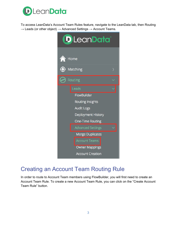

To access LeanData's Account Team Rules feature, navigate to the LeanData tab, then Routing  $\rightarrow$  Leads (or other object)  $\rightarrow$  Advanced Settings  $\rightarrow$  Account Teams.



## <span id="page-2-0"></span>Creating an Account Team Routing Rule

In order to route to Account Team members using FlowBuilder, you will first need to create an Account Team Rule. To create a new Account Team Rule, you can click on the "Create Account Team Rule" button.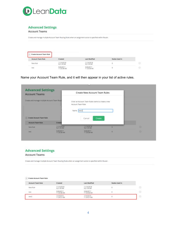

#### **Advanced Settings**

#### **Account Teams**

Create and manage multiple Account Team Routing Rules when an assignment action is specified within Router.

| Create Account Team Rule |                          |                          |               |  |
|--------------------------|--------------------------|--------------------------|---------------|--|
| <b>Account Team Rule</b> | <b>Created</b>           | Last Modified            | Nodes Used in |  |
| New Rule<br>こうせんこう ひんこう  | 11/16/2018<br>9:21:44 AM | 11/16/2018<br>9:21:44 AM |               |  |
| test                     | 5/26/2017<br>11:33:38 AM | 5/26/2017<br>11:33:38 AM |               |  |

Name your Account Team Rule, and it will then appear in your list of active rules.

| <b>Advanced Settings</b><br><b>Account Teams</b> |                          | Create New Account Team Rules                                                       |   |         |
|--------------------------------------------------|--------------------------|-------------------------------------------------------------------------------------|---|---------|
| Create and manage multiple Account Team Rout     |                          | Enter an Account Team Rules name to create a new<br>Account Team Rule<br>Name test2 |   |         |
| <b>Create Account Team Rule</b>                  |                          | Cancel<br>Create                                                                    |   |         |
| <b>Account Team Rule</b>                         | Creater                  |                                                                                     |   |         |
|                                                  | 11/16/2018<br>9:21:44 AM | 11/16/2018<br>9:21:44 AM                                                            | o | $\odot$ |
| New Rule                                         |                          |                                                                                     |   |         |

### **Advanced Settings Account Teams**

Create and manage multiple Account Team Routing Rules when an assignment action is specified within Router.

#### $(+)$  Create Account Team Rule

| <b>Account Team Rule</b> | Created<br><b><i>CONTRACTOR</i></b> | Last Modified            | Nodes Used In |   |
|--------------------------|-------------------------------------|--------------------------|---------------|---|
| New Rule                 | 11/16/2018<br>9:21:44 AM            | 11/16/2018<br>9:21:44 AM |               | Θ |
| test                     | 5/26/2017<br>MA 88.88111            | 5/26/2017<br>11:33:38 AM |               | Θ |
| test2                    | 1/14/2019<br>11:54:57 AM            | 1/14/2019<br>11:54:57 AM |               | Θ |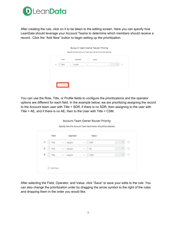

After creating the rule, click on it to be taken to the editing screen. Here you can specify how LeanData should leverage your Account Teams to determine which members should receive a record.. Click the "Add New" button to begin setting up the prioritization.

|   | Field |              | Operator | Value        |        |  |
|---|-------|--------------|----------|--------------|--------|--|
| 1 | Role  | $\checkmark$ | equals   | $\checkmark$ | $\vee$ |  |
|   |       |              |          |              |        |  |
|   |       |              |          |              |        |  |
|   |       |              |          |              |        |  |

You can use the Role, Title, or Profile fields to configure the prioritizations and the operator options are different for each field. In the example below, we are prioritizing assigning the record to the Account team user with Title = SDR, if there is no SDR, then assigning to the user with Title = AE, and if there is no AE, then to the User with Title = CSM.

#### Account Team Owner Router Priority

| $\frac{1}{\lambda_{\phi}}$<br>$\checkmark$<br>$\checkmark$<br>equals<br>Title<br>AE | $\overline{1}$ | Title | $\vee$ | equals | $\checkmark$       | SDR | $\frac{1}{2} \frac{1}{2}$ | $(-)$                                           |
|-------------------------------------------------------------------------------------|----------------|-------|--------|--------|--------------------|-----|---------------------------|-------------------------------------------------|
|                                                                                     |                |       |        |        |                    |     |                           |                                                 |
|                                                                                     | $\mathbf{2}$   |       |        |        |                    |     |                           | $(\mathord{\hspace{1pt}\text{--}\hspace{1pt}})$ |
|                                                                                     | 3              | Title | $\vee$ | equals | $\dot{\mathbf{v}}$ | CSM | $\frac{1}{2} \frac{1}{2}$ | Θ                                               |
|                                                                                     |                |       |        |        |                    |     |                           |                                                 |

Specify how the Account Team lead owner should be selected

After selecting the Field, Operator, and Value, click "Save" to save your edits to the rule. You can also change the prioritization order by dragging the arrow symbol to the right of the rules and dropping them in the order you would like.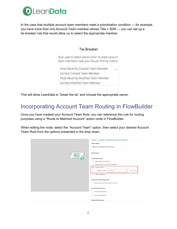

In the case that multiple account team members meet a prioritization condition — for example, you have more than one Account Team member whose Title = SDR — you can set up a tie-breaker rule that would allow us to select the appropriate member.

### **Tie-Breaker**

Rule used to select owner when multiple account team members meet your Router Priority criteria.

Most Recently Created Team Member Earliest Created Team Member Most Recently Modified Team Member Earliest Modified Team Member

<span id="page-5-0"></span>This will allow LeanData to "break the tie" and choose the appropriate owner.

# Incorporating Account Team Routing in FlowBuilder

Once you have created your Account Team Rule, you can reference this rule for routing purposes using a "Route to Matched Account" action node in FlowBuilder.

When editing the node, select the "Account Team" option, then select your desired Account Team Rule from the options presented in the drop down.

|                                                                  | <b>Action - Assign to Matched Account Owner</b><br><b>Node Name</b>                                                                     |
|------------------------------------------------------------------|-----------------------------------------------------------------------------------------------------------------------------------------|
| $\odot$<br>Route to<br>Matched<br>Account<br>2<br>$\circledcirc$ | Route to Matched Account<br>Description ><br><b>Lead Ownership</b><br>Matched Account Owner                                             |
|                                                                  | Matched Account Custom User Field<br>◉<br>Account Team<br>Search<br>Account teams:<br><b>View Team</b><br>$\checkmark$<br>Owner Mapping |
|                                                                  | <b>Alternate Field Assignment</b><br>Assign Alternate Field Instead of Owner<br><b>Email Notifications</b>                              |
|                                                                  | <b>Success Notifications</b><br><b>Failure Notifications</b><br>Advanced Settings >                                                     |